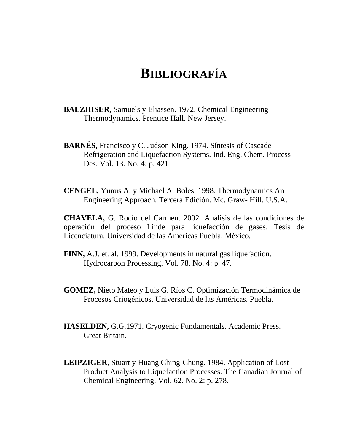## **BIBLIOGRAFÍA**

- **BALZHISER,** Samuels y Eliassen. 1972. Chemical Engineering Thermodynamics. Prentice Hall. New Jersey.
- **BARNÉS,** Francisco y C. Judson King. 1974. Síntesis of Cascade Refrigeration and Liquefaction Systems. Ind. Eng. Chem. Process Des. Vol. 13. No. 4: p. 421
- **CENGEL,** Yunus A. y Michael A. Boles. 1998. Thermodynamics An Engineering Approach. Tercera Edición. Mc. Graw- Hill. U.S.A.

**CHAVELA,** G. Rocío del Carmen. 2002. Análisis de las condiciones de operación del proceso Linde para licuefacción de gases. Tesis de Licenciatura. Universidad de las Américas Puebla. México.

- **FINN,** A.J. et. al. 1999. Developments in natural gas liquefaction. Hydrocarbon Processing. Vol. 78. No. 4: p. 47.
- **GOMEZ,** Nieto Mateo y Luis G. Ríos C. Optimización Termodinámica de Procesos Criogénicos. Universidad de las Américas. Puebla.
- **HASELDEN,** G.G.1971. Cryogenic Fundamentals. Academic Press. Great Britain.
- **LEIPZIGER**, Stuart y Huang Ching-Chung. 1984. Application of Lost-Product Analysis to Liquefaction Processes. The Canadian Journal of Chemical Engineering. Vol. 62. No. 2: p. 278.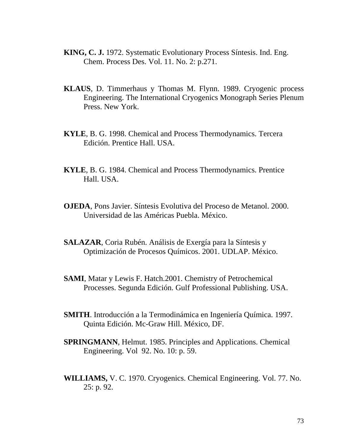- **KING, C. J.** 1972. Systematic Evolutionary Process Síntesis. Ind. Eng. Chem. Process Des. Vol. 11. No. 2: p.271.
- **KLAUS**, D. Timmerhaus y Thomas M. Flynn. 1989. Cryogenic process Engineering. The International Cryogenics Monograph Series Plenum Press. New York.
- **KYLE**, B. G. 1998. Chemical and Process Thermodynamics. Tercera Edición. Prentice Hall. USA.
- **KYLE**, B. G. 1984. Chemical and Process Thermodynamics. Prentice Hall. USA.
- **OJEDA**, Pons Javier. Síntesis Evolutiva del Proceso de Metanol. 2000. Universidad de las Américas Puebla. México.
- **SALAZAR**, Coria Rubén. Análisis de Exergía para la Síntesis y Optimización de Procesos Químicos. 2001. UDLAP. México.
- **SAMI**, Matar y Lewis F. Hatch.2001. Chemistry of Petrochemical Processes. Segunda Edición. Gulf Professional Publishing. USA.
- **SMITH**. Introducción a la Termodinámica en Ingeniería Química. 1997. Quinta Edición. Mc-Graw Hill. México, DF.
- **SPRINGMANN**, Helmut. 1985. Principles and Applications. Chemical Engineering. Vol 92. No. 10: p. 59.
- **WILLIAMS,** V. C. 1970. Cryogenics. Chemical Engineering. Vol. 77. No. 25: p. 92.